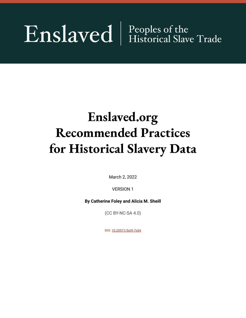# Enslaved | Peoples of the

# **Enslaved.org Recommended Practices for Historical Slavery Data**

March 2, 2022

VERSION 1

**By Catherine Foley and Alicia M. Sheill**

(CC BY-NC-SA 4.0)

DOI: [10.25971/5xt9-7x54](https://doi.org/10.25971/5xt9-7x54)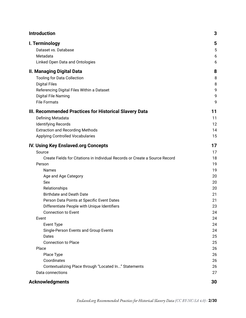| <b>Introduction</b>                                                         | 3  |
|-----------------------------------------------------------------------------|----|
| I. Terminology                                                              | 5  |
| Dataset vs. Database                                                        | 5  |
| Metadata                                                                    | 6  |
| Linked Open Data and Ontologies                                             | 6  |
| <b>II. Managing Digital Data</b>                                            | 8  |
| <b>Tooling for Data Collection</b>                                          | 8  |
| <b>Digital Files</b>                                                        | 8  |
| Referencing Digital Files Within a Dataset                                  | 9  |
| Digital File Naming                                                         | 9  |
| <b>File Formats</b>                                                         | 9  |
| III. Recommended Practices for Historical Slavery Data                      | 11 |
| Defining Metadata                                                           | 11 |
| <b>Identifying Records</b>                                                  | 12 |
| <b>Extraction and Recording Methods</b>                                     | 14 |
| <b>Applying Controlled Vocabularies</b>                                     | 15 |
| <b>IV. Using Key Enslaved.org Concepts</b>                                  | 17 |
| Source                                                                      | 17 |
| Create Fields for Citations in Individual Records or Create a Source Record | 18 |
| Person                                                                      | 19 |
| <b>Names</b>                                                                | 19 |
| Age and Age Category                                                        | 20 |
| Sex                                                                         | 20 |
| Relationships                                                               | 20 |
| <b>Birthdate and Death Date</b>                                             | 21 |
| Person Data Points at Specific Event Dates                                  | 21 |
| Differentiate People with Unique Identifiers                                | 23 |
| <b>Connection to Event</b>                                                  | 24 |
| Event                                                                       | 24 |
| <b>Event Type</b>                                                           | 24 |
| Single-Person Events and Group Events                                       | 24 |
| Dates                                                                       | 25 |
| <b>Connection to Place</b>                                                  | 25 |
| Place                                                                       | 26 |
| Place Type                                                                  | 26 |
| Coordinates                                                                 | 26 |
| Contextualizing Place through "Located In" Statements                       | 26 |
| Data connections                                                            | 27 |
| <b>Acknowledgments</b>                                                      | 30 |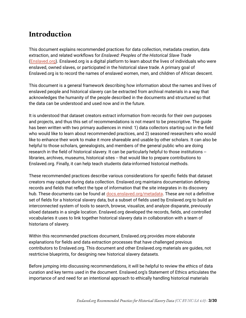### <span id="page-2-0"></span>**Introduction**

This document explains recommended practices for data collection, metadata creation, data extraction, and related workflows for *Enslaved: Peoples of the Historical Slave Trade* ([Enslaved.org\)](https://enslaved.org/). Enslaved.org is a digital platform to learn about the lives of individuals who were enslaved, owned slaves, or participated in the historical slave trade. A primary goal of Enslaved.org is to record the names of enslaved women, men, and children of African descent.

This document is a general framework describing how information about the names and lives of enslaved people and historical slavery can be extracted from archival materials in a way that acknowledges the humanity of the people described in the documents and structured so that the data can be understood and used now and in the future.

It is understood that dataset creators extract information from records for their own purposes and projects, and thus this set of recommendations is not meant to be prescriptive. The guide has been written with two primary audiences in mind: 1) data collectors starting out in the field who would like to learn about recommended practices, and 2) seasoned researchers who would like to enhance their work to make it more shareable and usable by other scholars. It can also be helpful to those scholars, genealogists, and members of the general public who are doing research in the field of historical slavery. It can be particularly helpful to those institutions -libraries, archives, museums, historical sites -- that would like to prepare contributions to Enslaved.org. Finally, it can help teach students data-informed historical methods.

These recommended practices describe various considerations for specific fields that dataset creators may capture during data collection. Enslaved.org maintains documentation defining records and fields that reflect the type of information that the site integrates in its discovery hub. These documents can be found at [docs.enslaved.org/metadata](https://docs.enslaved.org/metadata/). These are not a definitive set of fields for a historical slavery data, but a subset of fields used by Enslaved.org to build an interconnected system of tools to search, browse, visualize, and analyze disparate, previously siloed datasets in a single location. Enslaved.org developed the records, fields, and controlled vocabularies it uses to link together historical slavery data in collaboration with a team of historians of slavery.

Within this recommended practices document, Enslaved.org provides more elaborate explanations for fields and data extraction processes that have challenged previous contributors to Enslaved.org. This document and other Enslaved.org materials are guides, not restrticive blueprints, for designing new historical slavery datasets.

Before jumping into discussing recommendations, it will be helpful to review the ethics of data curation and key terms used in the document. Enslaved.org's Statement of Ethics articulates the importance of and need for an intentional approach to ethically handling historical materials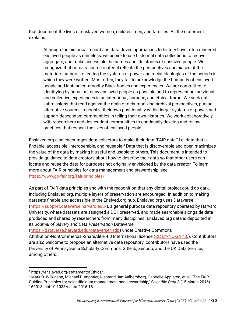that document the lives of enslaved women, children, men, and families. As the statement explains:

Although the historical record and data-driven approaches to history have often rendered enslaved people as nameless, we aspire to use historical data collections to recover, aggregate, and make accessible the names and life stories of enslaved people. We recognize that primary source material reflects the perspectives and biases of the material's authors, reflecting the systems of power and racist ideologies of the periods in which they were written. Most often, they fail to acknowledge the humanity of enslaved people and instead commodify Black bodies and experiences. We are committed to identifying by name as many enslaved people as possible and to representing individual and collective experiences in an intentional, humane, and ethical frame. We seek out submissions that read against the grain of dehumanizing archival perspectives, pursue alternative sources, recognize their own positionality within larger systems of power, and support descendant communities in telling their own histories. We work collaboratively with researchers and descendant communities to continually develop and follow practices that respect the lives of enslaved people. 1

Enslaved.org also encourages data collectors to make their data "FAIR data," i.e. data that is findable, accessible, interoperable, and reusable. $^2$  Data that is discoverable and open maximizes the value of the data by making it useful and usable to others. This document is intended to provide guidance to data creators about how to describe their data so that other users can locate and reuse the data for purposes not originally envisioned by the data creator. To learn more about FAIR principles for data management and stewardship, see: <https://www.go-fair.org/fair-principles/>.

As part of FAIR data principles and with the recognition that any digital project could go dark, including Enslaved.org, multiple layers of preservation are encouraged. In addition to making datasets finable and accessible in the Enslved.org hub, Enslaved.org uses Dataverse (<https://support.dataverse.harvard.edu/>), a general purpose data repository operated by Harvard University, where datasets are assigned a DOI, preserved, and made searchable alongside data produced and shared by researchers from many disciplines. Enslaved.org data is deposited in its *Journal of Slavery and Data Preservation* Dataverse

([https://dataverse.harvard.edu/dataverse/jsdp\)](https://dataverse.harvard.edu/dataverse/jsdp) under Creative Commons

Attribution-NonCommercial-ShareAlike 4.0 International license (CC [BY-NC-SA](https://creativecommons.org/licenses/by-nc-sa/4.0/) 4.0). Contributors are also welcome to propose an alternative data repository; contributors have used the University of Pennsylvania Scholarly Commons, GitHub, Zenodo, and the UK Data Service, among others.

<sup>1</sup> https://enslaved.org/statementofEthics/

<sup>&</sup>lt;sup>2</sup> Mark D. Wilkinson, Michael Dumontier, IJsbrand Jan Aalbersberg, Gabrielle Appleton, et al. "The FAIR Guiding Principles for scientific data management and stewardship," *Scientific Data* 3 (15 March 2016) 160018. doi:10.1038/sdata.2016.18.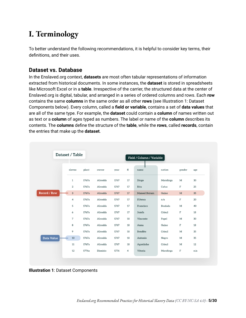# <span id="page-4-0"></span>**I. Terminology**

To better understand the following recommendations, it is helpful to consider key terms, their definitions, and their uses.

#### <span id="page-4-1"></span>**Dataset vs. Database**

In the Enslaved.org context, **datasets** are most often tabular representations of information extracted from historical documents. In some instances, the **dataset** is stored in spreadsheets like Microsoft Excel or in a **table**. Irrespective of the carrier, the structured data at the center of Enslaved.org is digital, tabular, and arranged in a series of ordered columns and rows. Each **row** contains the same **columns** in the same order as all other **rows** (see Illustration 1: Dataset Components below). Every column, called a **field or variable**, contains a set of **data values** that are all of the same type. For example, the **dataset** could contain a **column** of names written out as text or a **column** of ages typed as numbers. The label or name of the **column** describes its contents. The **columns** define the structure of the **table**, while the **rows**, called **records**, contain the entries that make up the **dataset**.

| Dataset / Table<br>Field / Column / Variable |                |       |          |      |                |                     |                |              |     |
|----------------------------------------------|----------------|-------|----------|------|----------------|---------------------|----------------|--------------|-----|
|                                              | slavno         | plant | owner    | year | fl             | name                | nation         | gender       | age |
|                                              | $\mathbf{1}$   | 1767a | Almeida  | 1767 | 17             | Diogo               | Mandinga       | M            | 30  |
|                                              | $\overline{2}$ | 1767a | Almeida  | 1767 | 17             | Rita                | Cafuz          | $\mathbf F$  | 25  |
| Record / Row                                 | $\overline{3}$ | 1767a | Almeida  | 1767 | 17             | <b>Manoel Beyam</b> | Guine          | $\mathbf M$  | 35  |
|                                              | 4              | 1767a | Almeida  | 1767 | 17             | <b>EUenca</b>       | n/a            | $\mathbb F$  | 20  |
|                                              | 5              | 1767a | Almeida  | 1767 | 17             | Francisco           | <b>Beafada</b> | M            | 40  |
|                                              | 6              | 1767a | Almeida  | 1767 | 17             | Jozefa              | Crioul         | $\mathbf F$  | 18  |
|                                              | 7              | 1767a | Almeida  | 1767 | 18             | Vincente            | Papel          | M            | 30  |
|                                              | 8              | 1767a | Almeida  | 1767 | 18             | Anna                | Guine          | $\mathbf F$  | 18  |
|                                              | 9              | 1767a | Almeida  | 1767 | 18             | <b>Bendito</b>      | Crioul         | $\mathbf{M}$ | 35  |
| Data Value                                   | 10             | 1767a | Almeida  | 1767 | 18             | Antonio             | Negro          | $\mathbf M$  | 35  |
|                                              | 11             | 1767a | Almeida  | 1767 | 18             | Agostinho           | Crioul         | M            | 12  |
|                                              | 12             | 1776a | Dionisio | 1776 | $\overline{4}$ | Vitoria             | Mandinga       | $\mathbf F$  | n/a |

**Illustration 1**: Dataset Components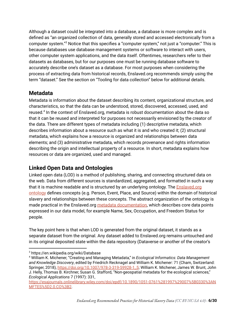Although a dataset could be integrated into a database, a database is more complex and is defined as "an organized collection of data, generally stored and accessed electronically from a computer system."<sup>3</sup> Notice that this specifies a "computer system," not just a "computer." This is because databases use database management systems or software to interact with users, other computer system applications, and the data itself. Oftentimes, researchers refer to their datasets as databases, but for our purposes one must be running database software to accurately describe one's dataset as a database. For most purposes when considering the process of extracting data from historical records, Enslaved.org recommends simply using the term "dataset." See the section on "Tooling for data collection" below for additional details.

#### <span id="page-5-0"></span>**Metadata**

Metadata is information about the dataset describing its content, organizational structure, and characteristics, so that the data can be understood, stored, discovered, accessed, used, and reused.<sup>4</sup> In the context of Enslaved.org, metadata is robust documentation about the data so that it can be reused and interpreted for purposes not necessarily envisioned by the creator of the data. There are different types of metadata including (1) descriptive metadata, which describes information about a resource such as what it is and who created it; (2) structural metadata, which explains how a resource is organized and relationships between data elements; and (3) administrative metadata, which records provenance and rights information describing the origin and intellectual property of a resource. In short, metadata explains how resources or data are organized, used and managed.

#### <span id="page-5-1"></span>**Linked Open Data and Ontologies**

Linked open data (LOD) is a method of publishing, sharing, and connecting structured data on the web. Data from different sources is standardized, aggregated, and formatted in such a way that it is machine readable and is structured by an underlying ontology. The [Enslaved.org](https://docs.enslaved.org/ontology/) [ontology](https://docs.enslaved.org/ontology/) defines concepts (e.g. Person, Event, Place, and Source) within the domain of historical slavery and relationships between these concepts. The abstract organization of the ontology is made practical in the [Enslaved.org](https://docs.enslaved.org/metadata/) metadata [documentation,](https://docs.enslaved.org/metadata/) which describes core data points expressed in our data model, for example Name, Sex, Occupation, and Freedom Status for people.

The key point here is that when LOD is generated from the original dataset, it stands as a separate dataset from the original. Any dataset added to Enslaved.org remains untouched and in its original deposited state within the data repository (Dataverse or another of the creator's

<sup>3</sup> https://en.wikipedia.org/wiki/Database

<sup>4</sup> William K. Michener, "Creating and Managing Metadata," in *Ecological Informatics: Data Management and Knowledge Discovery*, edited by Friedrich Recknagel and William K. Michener: 71 (Cham, Switzerland: Springer, 2018), [https://doi.org/10.1007/978-3-319-59928-1\\_5](https://doi.org/10.1007/978-3-319-59928-1_5); William K. Michener, James W. Brunt, John J. Helly, Thomas B. Kirchner, Susan G. Stafford, "Non-geospatial metadata for the ecological sciences," *Ecological Applications* 7 (1997): 331,

[https://esajournals.onlinelibrary.wiley.com/doi/epdf/10.1890/1051-0761%281997%29007%5B0330%3AN](https://esajournals.onlinelibrary.wiley.com/doi/epdf/10.1890/1051-0761%281997%29007%5B0330%3ANMFTES%5D2.0.CO%3B2) [MFTES%5D2.0.CO%3B2](https://esajournals.onlinelibrary.wiley.com/doi/epdf/10.1890/1051-0761%281997%29007%5B0330%3ANMFTES%5D2.0.CO%3B2).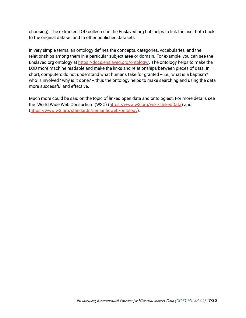choosing). The extracted LOD collected in the Enslaved.org hub helps to link the user both back to the original dataset and to other published datasets.

In very simple terms, an ontology defines the concepts, categories, vocabularies, and the relationships among them in a particular subject area or domain. For example, you can see the Enslaved.org ontology at <https://docs.enslaved.org/ontology/>. The ontology helps to make the LOD more machine readable and make the links and relationships between pieces of data. In short, computers do not understand what humans take for granted -- i.e., what is a baptism? who is involved? why is it done? -- thus the ontology helps to make searching and using the data more successful and effective.

Much more could be said on the topic of linked open data and ontologiest. For more details see the World Wide Web Consortium (W3C) ([https://www.w3.org/wiki/LinkedData\)](https://www.w3.org/wiki/LinkedData) and (<https://www.w3.org/standards/semanticweb/ontology>).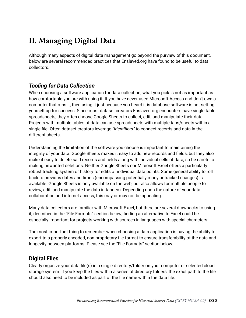# <span id="page-7-0"></span>**II. Managing Digital Data**

Although many aspects of digital data management go beyond the purview of this document, below are several recommended practices that Enslaved.org have found to be useful to data collectors.

#### <span id="page-7-1"></span>*Tooling for Data Collection*

When choosing a software application for data collection, what you pick is not as important as how comfortable you are with using it. If you have never used Microsoft Access and don't own a computer that runs it, then using it just because you heard it is database software is not setting yourself up for success. Since most dataset creators Enslaved.org encounters have single table spreadsheets, they often choose Google Sheets to collect, edit, and manipulate their data. Projects with multiple tables of data can use spreadsheets with multiple tabs/sheets within a single file. Often dataset creators leverage *"Identifiers"* to connect records and data in the different sheets.

Understanding the limitation of the software you choose is important to maintaining the integrity of your data. Google Sheets makes it easy to add new records and fields, but they also make it easy to delete said records and fields along with individual cells of data, so be careful of making unwanted deletions. Neither Google Sheets nor Microsoft Excel offers a particularly robust tracking system or history for edits of individual data points. Some general ability to roll back to previous dates and times (encompassing potentially many untracked changes) is available. Google Sheets is only available on the web, but also allows for multiple people to review, edit, and manipulate the data in tandem. Depending upon the nature of your data collaboration and internet access, this may or may not be appealing.

Many data collectors are familiar with Microsoft Excel, but there are several drawbacks to using it, described in the "File Formats" section below; finding an alternative to Excel could be especially important for projects working with sources in languages with special characters.

The most important thing to remember when choosing a data application is having the ability to export to a properly encoded, non-proprietary file format to ensure transferability of the data and longevity between platforms. Please see the "File Formats" section below.

#### <span id="page-7-2"></span>**Digital Files**

Clearly organize your data file(s) in a single directory/folder on your computer or selected cloud storage system. If you keep the files within a series of directory folders, the exact path to the file should also need to be included as part of the file name within the data file.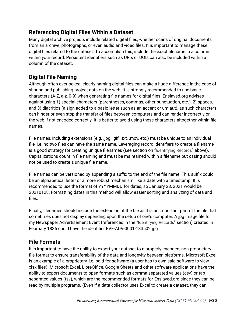#### <span id="page-8-0"></span>**Referencing Digital Files Within a Dataset**

Many digital archive projects include related digital files, whether scans of original documents from an archive, photographs, or even audio and video files. It is important to manage these digital files related to the dataset. To accomplish this, include the exact filename in a column within your record. Persistent identifiers such as URIs or DOIs can also be included within a column of the dataset.

#### <span id="page-8-1"></span>**Digital File Naming**

Although often overlooked, clearly naming digital files can make a huge difference in the ease of sharing and publishing project data on the web. It is strongly recommended to use basic characters (A-Z, a-z, 0-9) when generating file names for digital files. Enslaved.org advises against using 1) special characters (parentheses, commas, other punctuation, etc.), 2) spaces, and 3) diacritics (a sign added to a basic letter such as an accent or umlaut), as such characters can hinder or even stop the transfer of files between computers and can render incorrectly on the web if not encoded correctly. It is better to avoid using these characters altogether within file names.

File names, including extensions (e.g. .jpg, .gif, .txt, .mov, etc.) must be unique to an individual file, i.e. no two files can have the same name. Leveraging record identifiers to create a filename is a good strategy for creating unique filenames (see section on "Identifying Records" above). Capitalizations count in file naming and must be maintained within a filename but casing should not be used to create a unique file name.

File names can be versioned by appending a suffix to the end of the file name. This suffix could be an alphabetical letter or a more robust mechanism, like a date with a timestamp. It is recommended to use the format of YYYYMMDD for dates, so January 28, 2021 would be 20210128. Formatting dates in this method will allow easier sorting and analyzing of data and files.

Finally, filenames should include the extension of the file as it is an important part of the file that sometimes does not display depending upon the setup of one's computer. A jpg image file for my Newspaper Advertisement Event (referenced in the "Identifying Records" section) created in February 1835 could have the identifier EVE-ADV-0001-183502.jpg.

#### <span id="page-8-2"></span>**File Formats**

It is important to have the ability to export your dataset to a properly encoded, non-proprietary file format to ensure transferability of the data and longevity between platforms. Microsoft Excel is an example of a proprietary, i.e. paid-for software (a user has to own said software to view xlsx files). Microsoft Excel, LibreOffice, Google Sheets and other software applications have the ability to export documents to open formats such as comma separated values (csv) or tab separated values (tsv), which are the recommended formats for Enslaved.org since they can be read by multiple programs. (Even if a data collector uses Excel to create a dataset, they can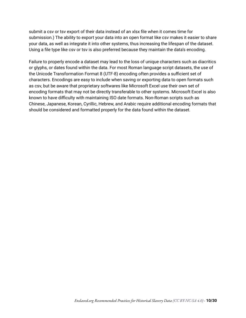submit a csv or tsv export of their data instead of an xlsx file when it comes time for submission.) The ability to export your data into an open format like csv makes it easier to share your data, as well as integrate it into other systems, thus increasing the lifespan of the dataset. Using a file type like csv or tsv is also preferred because they maintain the data's encoding.

Failure to properly encode a dataset may lead to the loss of unique characters such as diacritics or glyphs, or dates found within the data. For most Roman language script datasets, the use of the Unicode Transformation Format 8 (UTF-8) encoding often provides a sufficient set of characters. Encodings are easy to include when saving or exporting data to open formats such as csv, but be aware that proprietary softwares like Microsoft Excel use their own set of encoding formats that may not be directly transferable to other systems. Microsoft Excel is also known to have difficulty with maintaining ISO date formats. Non-Roman scripts such as Chinese, Japanese, Korean, Cyrillic, Hebrew, and Arabic require additional encoding formats that should be considered and formatted properly for the data found within the dataset.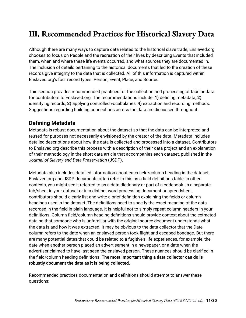## <span id="page-10-0"></span>**III. Recommended Practices for Historical Slavery Data**

Although there are many ways to capture data related to the historical slave trade, Enslaved.org chooses to focus on People and the recreation of their lives by describing Events that included them, when and where these life events occurred, and what sources they are documented in. The inclusion of details pertaining to the historical documents that led to the creation of these records give integrity to the data that is collected. All of this information is captured within Enslaved.org's four record types: Person, Event, Place, and Source.

This section provides recommended practices for the collection and processing of tabular data for contributors to Enslaved.org*.* The recommendations include: **1)** defining metadata, **2)** identifying records, **3)** applying controlled vocabularies, **4)** extraction and recording methods. Suggestions regarding building connections across the data are discussed throughout.

#### <span id="page-10-1"></span>**Defining Metadata**

Metadata is robust documentation about the dataset so that the data can be interpreted and reused for purposes not necessarily envisioned by the creator of the data. Metadata includes detailed descriptions about how the data is collected and processed into a dataset. Contributors to Enslaved.org describe this process with a description of their data project and an explanation of their methodology in the short data article that accompanies each dataset, published in the *Journal of Slavery and Data Preservation* (JSDP).

Metadata also includes detailed information about each field/column heading in the dataset. Enslaved.org and JSDP documents often refer to this as a field definitions table; in other contexts, you might see it referred to as a data dictionary or part of a codebook. In a separate tab/sheet in your dataset or in a distinct word processing document or spreadsheet, contributors should clearly list and write a brief definition explaining the fields or column headings used in the dataset. The definitions need to specify the exact meaning of the data recorded in the field in plain language. It is helpful not to simply repeat column headers in your definitions. Column field/column heading definitions should provide context about the extracted data so that someone who is unfamiliar with the original source document understands what the data is and how it was extracted. It may be obvious to the data collector that the Date column refers to the date when an enslaved person took flight and escaped bondage. But there are many potential dates that could be related to a fugitive's life experiences, for example, the date when another person placed an advertisement in a newspaper, or a date when the advertiser claimed to have last seen the enslaved person. These nuances should be clarified in the field/column heading definitions. **The most important thing a data collector can do is robustly document the data as it is being collected.**

Recommended practices documentation and definitions should attempt to answer these questions: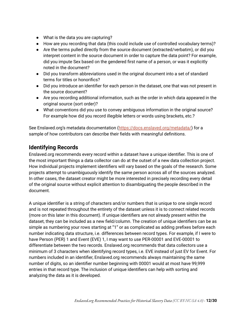- What is the data you are capturing?
- How are you recording that data (this could include use of controlled vocabulary terms)?
- Are the terms pulled directly from the source document (extracted/verbatim), or did you interpret content in the source document in order to capture the data point? For example, did you impute Sex based on the gendered first name of a person, or was it explicitly noted in the document?
- Did you transform abbreviations used in the original document into a set of standard terms for titles or honorifics?
- Did you introduce an identifier for each person in the dataset, one that was not present in the source document?
- Are you recording additional information, such as the order in which data appeared in the original source (sort order)?
- What conventions did you use to convey ambiguous information in the original source? For example how did you record illegible letters or words using brackets, etc.?

See Enslaved.org's metadata documentation (<https://docs.enslaved.org/metadata/>) for a sample of how contributors can describe their fields with meaningful definitions.

#### <span id="page-11-0"></span>**Identifying Records**

Enslaved.org recommends every record within a dataset have a unique identifier. This is one of the most important things a data collector can do at the outset of a new data collection project. How individual projects implement identifiers will vary based on the goals of the research. Some projects attempt to unambiguously identify the same person across all of the sources analyzed. In other cases, the dataset creator might be more interested in precisely recording every detail of the original source without explicit attention to disambiguating the people described in the document.

A unique identifier is a string of characters and/or numbers that is unique to one single record and is not repeated throughout the entirety of the dataset unless it is to connect related records (more on this later in this document). If unique identifiers are not already present within the dataset, they can be included as a new field/column. The creation of unique identifiers can be as simple as numbering your rows starting at "1" or as complicated as adding prefixes before each number indicating data structure, i.e. differences between record types. For example, if I were to have Person (PER) 1 and Event (EVE) 1, I may want to use PER-00001 and EVE-00001 to differentiate between the two records. Enslaved.org recommends that data collectors use a minimum of 3 characters when identifying record types, i.e. EVE instead of just EV for Event. For numbers included in an identifier, Enslaved.org recommends always maintaining the same number of digits, so an identifier number beginning with 00001 would at most have 99,999 entries in that record type. The inclusion of unique identifiers can help with sorting and analyzing the data as it is developed.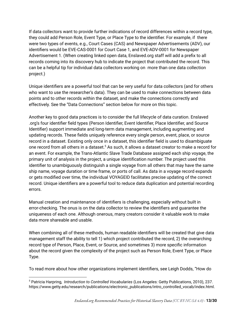If data collectors want to provide further indications of record differences within a record type, they could add Person Role, Event Type, or Place Type to the identifier. For example, if there were two types of events, e.g., Court Cases (CAS) and Newspaper Advertisements (ADV), our identifiers would be EVE-CAS-0001 for Court Case 1, and EVE-ADV-0001 for Newspaper Advertisement 1. (When creating linked open data, Enslaved.org staff will add a prefix to all records coming into its discovery hub to indicate the project that contributed the record. This can be a helpful tip for individual data collectors working on more than one data collection project.)

Unique identifiers are a powerful tool that can be very useful for data collectors (and for others who want to use the researcher's data). They can be used to make connections between data points and to other records within the dataset, and make the connections correctly and effectively. See the "Data Connections" section below for more on this topic.

Another key to good data practices is to consider the full lifecycle of data curation. Enslaved .org's four identifier field types (Person Identifier, Event Identifier, Place Identifier, and Source Identifier) support immediate and long-term data management, including augmenting and updating records. These fields uniquely reference every single person, event, place, or source record in a dataset. Existing only once in a dataset, this identifier field is used to disambiguate one record from all others in a dataset. $5$  As such, it allows a dataset creator to make a record for an event. For example, the Trans-Atlantic Slave Trade Database assigned each ship voyage, the primary unit of analysis in the project, a unique identification number. The project used this identifier to unambiguously distinguish a single voyage from all others that may have the same ship name, voyage duration or time frame, or ports of call. As data in a voyage record expands or gets modified over time, the individual VOYAGEID facilitates precise updating of the correct record. Unique identifiers are a powerful tool to reduce data duplication and potential recording errors.

Manual creation and maintenance of identifiers is challenging, especially without built in error-checking. The onus is on the data collector to review the identifiers and guarantee the uniqueness of each one. Although onerous, many creators consider it valuable work to make data more shareable and usable.

When combining all of these methods, human readable identifiers will be created that give data management staff the ability to tell 1) which project contributed the record, 2) the overarching record type of Person, Place, Event, or Source, and sometimes 3) more specific information about the record given the complexity of the project such as Person Role, Event Type, or Place Type.

To read more about how other organizations implement identifiers, see Leigh Dodds, "How do

<sup>5</sup> Patricia Harpring, *Introduction to Controlled Vocabularies* (Los Angeles: Getty Publications, 2010), 237. https://www.getty.edu/research/publications/electronic\_publications/intro\_controlled\_vocab/index.html.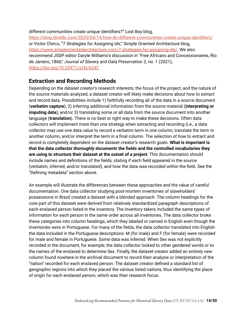#### different communities create unique identifiers?" Lost Boy blog,

<https://blog.ldodds.com/2020/04/14/how-do-different-communities-create-unique-identifiers/> or Victor Chircu, "7 Strategies for Assigning Ids," Simple Oriented Architecture blog, [https://www.simpleorientedarchitecture.com/7-strategies-for-assigning-ids/.](https://www.simpleorientedarchitecture.com/7-strategies-for-assigning-ids/) We also recommend JSDP editor Daryle Williams's discussion in "Free Africans and Concessionaires, Rio de Janeiro, 1860," *Journal of Slavery and Data Preservation* 2, no. 1 (2021), <https://doi.org/10.25971/s1bj-6242>.

#### <span id="page-13-0"></span>**Extraction and Recording Methods**

Depending on the dataset creator's research interests, the focus of the project, and the nature of the source materials analyzed, a dataset creator will likely make decisions about how to extract and record data. Possibilities include 1) faithfully recording all of the data in a source document (**verbatim capture**); 2) inferring additional information from the source material (**interpreting or imputing data**); and/or 3) translating some or all data from the source document into another language (**translation**). There is no best or right way to make these decisions. Often data collectors will implement more than one strategy when extracting and recording (i.e., a data collector may use one data value to record a verbatim term in one column, translate the term in another column, and/or interpret the term in a final column. The selection of how to extract and record is completely dependent on the dataset creator's research goals. **What is important is that the data collector** *thoroughly documents* **the fields and the controlled vocabularies they are using to structure their dataset at the outset of a project**. This documentation should include names and definitions of the fields, stating if each field appeared in the source (verbatim, inferred, and/or translated), and how the data was recorded within the field. See the "Defining metadata" section above.

An example will illustrate the differences between these approaches and the value of careful documentation. One data collector studying post-mortem inventories of slaveholders' possessions in Brazil created a dataset with a blended approach. The column headings for the core part of this dataset were derived from relatively standardized paragraph descriptions of each enslaved person listed in the inventory. The inventory takers included the same types of information for each person in the same order across all inventories. The data collector broke these categories into column headings, which they labeled or named in English even though the inventories were in Portuguese. For many of the fields, the data collector translated into English the data included in the Portuguese descriptions: M (for male) and F (for female) were recorded for male and female in Portuguese. Some data was inferred. When Sex was not explicitly recorded in the document, for example, the data collector looked to other gendered words or to the names of the enslaved to determine Sex. Finally, the dataset creator added an entirely new column found nowhere in the archival document to record their analysis or interpretation of the "nation" recorded for each enslaved person. The dataset creator defined a standard list of geographic regions into which they placed the various listed nations, thus identifying the place of origin for each enslaved person, which was their research focus.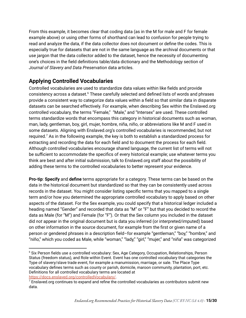From this example, it becomes clear that coding data (as in the M for male and F for female example above) or using other forms of shorthand can lead to confusion for people trying to read and analyze the data, if the data collector does not document or define the codes. This is especially true for datasets that are not in the same language as the archival documents or that use jargon that the data collector added to the dataset, hence the necessity of documenting one's choices in the field definitions table/data dictionary and the Methodology section of *Journal of Slavery and Data Preservation* data articles.

#### <span id="page-14-0"></span>**Applying Controlled Vocabularies**

Controlled vocabularies are used to standardize data values within like fields and provide consistency across a dataset.<sup>6</sup> These carefully selected and defined lists of words and phrases provide a consistent way to categorize data values within a field so that similar data in disparate datasets can be searched effectively. For example, when describing Sex within the Enslaved.org controlled vocabulary, the terms "Female," "Male," and "Intersex" are used. These controlled terms standardize words that encompass this category in historical documents such as woman, man, lady, gentleman, boy, girl, mujer, hombre, niña, niño, or abbreviations like M and F used in some datasets. Aligning with Enslaved.org's controlled vocabularies is recommended, but not required. $^7$  As in the following example, the key is both to establish a standardized process for extracting and recording the data for each field and to document the process for each field. Although controlled vocabularies encourage shared language, the current list of terms will not be sufficient to accommodate the specifics of every historical example; use whatever terms you think are best and after initial submission, talk to Enslaved.org staff about the possibility of adding these terms to the controlled vocabularies to better represent your evidence.

**Pro-tip**: **Specify** and **define** terms appropriate for a category. These terms can be based on the data in the historical document but standardized so that they can be consistently used across records in the dataset. You might consider listing specific terms that you mapped to a single term and/or how you determined the appropriate controlled vocabulary to apply based on other aspects of the dataset. For the Sex example, you could specify that a historical ledger included a heading named "Gender" and recorded that data as "M" or "F" but that you decided to record the data as Male (for "M") and Female (for "F"). Or that the Sex column you included in the dataset did *not* appear in the original document but is data you inferred (or interpreted/imputed) based on other information in the source document, for example from the first or given name of a person or gendered phrases in a description field–for example "gentleman," "boy," "hombre," and "niño," which you coded as Male, while "woman," "lady," "girl," "mujer," and "niña" was categorized

<sup>&</sup>lt;sup>6</sup> Six Person fields use a controlled vocabulary: Sex, Age Category, Occupation, Relationships, Person Status (freedom status), and Role within Event. Event has one controlled vocabulary that categories the Type of slavery/slave trade event, for example a manumission, marriage, or sale. The Place Type vocabulary defines terms such as county or parish, domicile, maroon community, plantation, port, etc. Definitions for all controlled vocabulary terms are located at [https://docs.enslaved.org/controlledVocabulary/.](https://docs.enslaved.org/controlledVocabulary/)

 $7$  Enslaved.org continues to expand and refine the controlled vocabularies as contributors submit new data.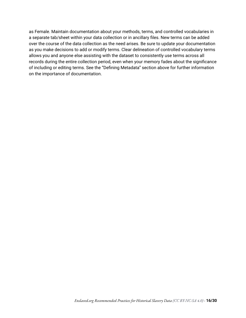as Female. Maintain documentation about your methods, terms, and controlled vocabularies in a separate tab/sheet within your data collection or in ancillary files. New terms can be added over the course of the data collection as the need arises. Be sure to update your documentation as you make decisions to add or modify terms. Clear delineation of controlled vocabulary terms allows you and anyone else assisting with the dataset to consistently use terms across all records during the entire collection period, even when your memory fades about the significance of including or editing terms. See the "Defining Metadata" section above for further information on the importance of documentation.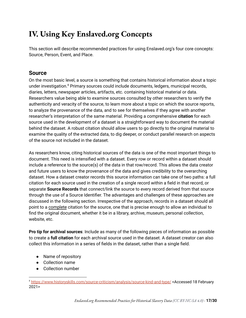# <span id="page-16-0"></span>**IV. Using Key Enslaved.org Concepts**

This section will describe recommended practices for using Enslaved.org's four core concepts: Source, Person, Event, and Place.

#### <span id="page-16-1"></span>**Source**

On the most basic level, a source is something that contains historical information about a topic under investigation.<sup>8</sup> Primary sources could include documents, ledgers, municipal records, diaries, letters, newspaper articles, artifacts, etc. containing historical material or data. Researchers value being able to examine sources consulted by other researchers to verify the authenticity and veracity of the source, to learn more about a topic on which the source reports, to analyze the provenance of the data, and to see for themselves if they agree with another researcher's interpretation of the same material. Providing a comprehensive **citation** for each source used in the development of a dataset is a straightforward way to document the material behind the dataset. A robust citation should allow users to go directly to the original material to examine the quality of the extracted data, to dig deeper, or conduct parallel research on aspects of the source not included in the dataset.

As researchers know, citing historical sources of the data is one of the most important things to document. This need is intensified with a dataset. Every row or record within a dataset should include a reference to the source(s) of the data in that row/record. This allows the data creator and future users to know the provenance of the data and gives credibility to the overarching dataset. How a dataset creator records this source information can take one of two paths: a full citation for each source used in the creation of a single record within a field in that record, or separate **Source Records** that connect/link the source to every record derived from that source through the use of a Source Identifier. The advantages and challenges of these approaches are discussed in the following section. Irrespective of the approach, records in a dataset should all point to a complete citation for the source, one that is precise enough to allow an individual to find the original document, whether it be in a library, archive, museum, personal collection, website, etc.

**Pro tip for archival sources**: Include as many of the following pieces of information as possible to create a **full citation** for each archival source used in the dataset. A dataset creator can also collect this information in a series of fields in the dataset, rather than a single field.

- Name of repository
- Collection name
- Collection number

<sup>8</sup> <https://www.historyskills.com/source-criticism/analysis/source-kind-and-type/> <Accessed 18 February 2021>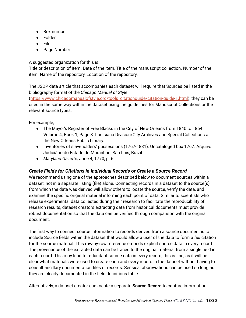- Box number
- Folder
- File
- Page Number

A suggested organization for this is:

Title or description of item. Date of the item. Title of the manuscript collection. Number of the item. Name of the repository, Location of the repository.

The JSDP data article that accompanies each dataset will require that Sources be listed in the bibliography format of the *Chicago Manual of Style*

([https://www.chicagomanualofstyle.org/tools\\_citationguide/citation-guide-1.html\)](https://www.chicagomanualofstyle.org/tools_citationguide/citation-guide-1.html); they can be cited in the same way within the dataset using the guidelines for Manuscript Collections or the relevant source types.

For example,

- The Mayor's Register of Free Blacks in the City of New Orleans from 1840 to 1864. Volume 4, Book 1, Page 3. Louisiana Division/City Archives and Special Collections at the New Orleans Public Library.
- Inventories of slaveholders' possessions (1767-1831). Uncataloged box 1767. Arquivo Judiciário do Estado do Maranhāo, São Luis, Brazil.
- *Maryland Gazette,* June 4, 1770, p. 6.

#### <span id="page-17-0"></span>*Create Fields for Citations in Individual Records or Create a Source Record*

We recommend using one of the approaches described below to document sources within a dataset, not in a separate listing (file) alone. Connecting records in a dataset to the source(s) from which the data was derived will allow others to locate the source, verify the data, and examine the specific original material informing each point of data. Similar to scientists who release experimental data collected during their research to facilitate the reproducibility of research results, dataset creators extracting data from historical documents must provide robust documentation so that the data can be verified through comparison with the original document.

The first way to connect source information to records derived from a source document is to include Source fields within the dataset that would allow a user of the data to form a *full* citation for the source material. This row-by-row reference embeds explicit source data in every record. The provenance of the extracted data can be traced to the original material from a single field in each record. This may lead to redundant source data in every record; this is fine, as it will be clear what materials were used to create each and every record in the dataset without having to consult ancillary documentation files or records. Sensical abbreviations can be used so long as they are clearly documented in the field definitions table.

Alternatively, a dataset creator can create a separate **Source Record** to capture information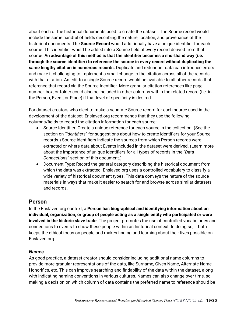about each of the historical documents used to create the dataset. The Source record would include the same handful of fields describing the nature, location, and provenance of the historical documents. The **Source Record** would additionally have a unique identifier for each source. This identifier would be added into a Source field of every record derived from that source. **An advantage of this method is that the identifier becomes a shorthand way (i.e. through the source identifier) to reference the source in every record without duplicating the same lengthy citation in numerous records.** Duplicate and redundant data can introduce errors and make it challenging to implement a small change to the citation across all of the records with that citation. An edit to a single Source record would be available to all other records that reference that record via the Source Identifier. More granular citation references like page number, box, or folder could also be included in other columns within the related record (i.e. in the Person, Event, or Place) if that level of specificity is desired.

For dataset creators who elect to make a separate Source record for each source used in the development of the dataset, Enslaved.org recommends that they use the following columns/fields to record the citation information for each source:

- Source Identifier: Create a unique reference for each source in the collection. (See the section on *"Identifiers"* for suggestions about how to create identifiers for your Source records.) Source identifiers indicate the sources from which Person records were extracted or where data about Events included in the dataset were derived. (Learn more about the importance of unique identifiers for all types of records in the *"Data Connections"* section of this document.)
- Document Type: Record the general category describing the historical document from which the data was extracted. Enslaved.org uses a controlled vocabulary to classify a wide variety of historical document types. This data conveys the nature of the source materials in ways that make it easier to search for and browse across similar datasets and records.

#### <span id="page-18-0"></span>**Person**

In the Enslaved.org context, a **Person has biographical and identifying information about an individual, organization, or group of people acting as a single entity who participated or were involved in the historic slave trade**. The project promotes the use of controlled vocabularies and connections to events to show these people within an historical context. In doing so, it both keeps the ethical focus on people and makes finding and learning about their lives possible on Enslaved.org.

#### <span id="page-18-1"></span>*Names*

As good practice, a dataset creator should consider including additional name columns to provide more granular representations of the data, like Surname, Given Name, Alternate Name, Honorifics, etc. This can improve searching and findability of the data within the dataset, along with indicating naming conventions in various cultures. Names can also change over time, so making a decision on which column of data contains the preferred name to reference should be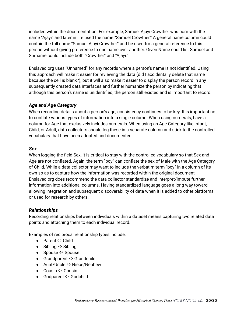included within the documentation. For example, Samuel Ajayi Crowther was born with the name "Ajayi" and later in life used the name "Samuel Crowther." A general name column could contain the full name "Samuel Ajayi Crowther" and be used for a general reference to this person without giving preference to one name over another. Given Name could list Samuel and Surname could include both "Crowther" and "Ajayi."

Enslaved.org uses "Unnamed" for any records where a person's name is not identified. Using this approach will make it easier for reviewing the data (did I accidentally delete that name because the cell is blank?), but it will also make it easier to display the person record in any subsequently created data interfaces and further humanize the person by indicating that although this person's name is unidentified, the person still existed and is important to record.

#### <span id="page-19-0"></span>*Age and Age Category*

When recording details about a person's age, consistency continues to be key. It is important not to conflate various types of information into a single column. When using numerals, have a column for Age that exclusively includes numerals. When using an Age Category like Infant, Child, or Adult, data collectors should log these in a separate column and stick to the controlled vocabulary that have been adopted and documented.

#### <span id="page-19-1"></span>*Sex*

When logging the field Sex, it is critical to stay with the controlled vocabulary so that Sex and Age are not conflated. Again, the term "boy" can conflate the sex of Male with the Age Category of Child. While a data collector may want to include the verbatim term "boy" in a column of its own so as to capture how the information was recorded within the original document, Enslaved.org does recommend the data collector standardize and interpret/impute further information into additional columns. Having standardized language goes a long way toward allowing integration and subsequent discoverability of data when it is added to other platforms or used for research by others.

#### <span id="page-19-2"></span>*Relationships*

Recording relationships between individuals within a dataset means capturing two related data points and attaching them to each individual record.

Examples of reciprocal relationship types include:

- Parent ⇔ Child
- Sibling ⇔ Sibling
- Spouse ⇔ Spouse
- Grandparent ⇔ Grandchild
- Aunt/Uncle ⇔ Niece/Nephew
- Cousin ⇔ Cousin
- Godparent ⇔ Godchild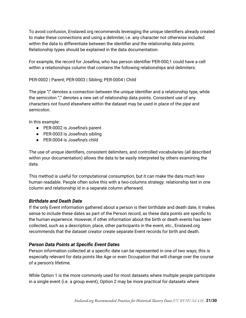To avoid confusion, Enslaved.org recommends leveraging the unique identifiers already created to make these connections and using a delimiter, i.e. any character not otherwise included within the data to differentiate between the identifier and the relationship data points. Relationship types should be explained in the data documentation.

For example, the record for Josefina, who has person identifier PER-000,1 could have a cell within a relationships column that contains the following relationships and delimiters:

PER-0002 | Parent; PER-0003 | Sibling; PER-0004 | Child

The pipe "|" denotes a connection between the unique identifier and a relationship type, while the semicolon ";" denotes a new set of relationship data points. Consistent use of any characters not found elsewhere within the dataset may be used in place of the pipe and semicolon.

In this example:

- PER-0002 is Josefina's parent
- PER-0003 is Josefina's sibling
- PER-0004 is Josefina's child

The use of unique identifiers, consistent delimiters, and controlled vocabularies (all described within your documentation) allows the data to be easily interpreted by others examining the data.

This method is useful for computational consumption, but it can make the data much less human readable. People often solve this with a two-columns strategy: relationship text in one column and relationship id in a separate column afterward.

#### <span id="page-20-0"></span>*Birthdate and Death Date*

If the only Event information gathered about a person is their birthdate and death date, it makes sense to include these dates as part of the Person record, as these data points are specific to the human experience. However, if other information about the birth or death events has been collected, such as a description, place, other participants in the event, etc., Enslaved.org recommends that the dataset creator create separate Event records for birth and death.

#### <span id="page-20-1"></span>*Person Data Points at Specific Event Dates*

Person information collected at a specific date can be represented in one of two ways; this is especially relevant for data points like Age or even Occupation that will change over the course of a person's lifetime.

While Option 1 is the more commonly used for most datasets where multiple people participate in a single event (i.e. a group event), Option 2 may be more practical for datasets where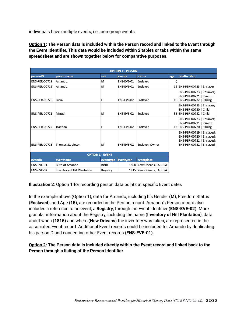individuals have multiple events, i.e., non-group events.

**Option 1: The Person data is included within the Person record and linked to the Event through the Event Identifier. This data would be included within 2 tables or tabs within the same spreadsheet and are shown together below for comparative purposes.**

| <b>OPTION 1 - PERSON</b> |                         |     |            |                 |     |                                                                                                                 |  |
|--------------------------|-------------------------|-----|------------|-----------------|-----|-----------------------------------------------------------------------------------------------------------------|--|
| personID                 | personname              | sex | events     | status          | age | relationship                                                                                                    |  |
| <b>ENS-PER-00719</b>     | Amando                  | м   | ENS-EVE-01 | Enslaved        | 0   |                                                                                                                 |  |
| <b>ENS-PER-00719</b>     | Amando                  | м   | ENS-EVE-02 | Enslaved        |     | 15 ENS-PER-00723   Enslaver                                                                                     |  |
| <b>ENS-PER-00720</b>     | Lucia                   | F   | ENS-EVE-02 | Enslaved        |     | ENS-PER-00723   Enslaver;<br>ENS-PER-00721   Parent;<br>10 ENS-PER-00722   Sibling                              |  |
| <b>ENS-PER-00721</b>     | Miguel                  | м   | ENS-EVE-02 | Enslaved        |     | ENS-PER-00723   Enslaver;<br>ENS-PER-00720   Child;<br>35 ENS-PER-00722   Child                                 |  |
| <b>ENS-PER-00722</b>     | Josefina                |     | ENS-EVE-02 | Enslaved        |     | ENS-PER-00723   Enslaver;<br>ENS-PER-00721   Parent;<br>12 ENS-PER-00720   Sibling                              |  |
| <b>ENS-PER-00723</b>     | <b>Thomas Stapleton</b> | м   | ENS-EVE-02 | Enslaver, Owner |     | ENS-PER-00719   Enslaved;<br>ENS-PER-00720   Enslaved;<br>ENS-PER-00721   Enslaved;<br>ENS-PER-00722   Enslaved |  |

| <b>OPTION 1 - EVENT</b> |                                     |                     |  |                           |  |  |  |
|-------------------------|-------------------------------------|---------------------|--|---------------------------|--|--|--|
| eventID                 | <b>eventname</b>                    | eventtype eventyear |  | eventplace                |  |  |  |
| <b>ENS-EVE-01</b>       | <b>Birth of Amando</b>              | Birth               |  | 1800 New Orleans, LA, USA |  |  |  |
| <b>ENS-EVE-02</b>       | <b>Inventory of Hill Plantation</b> | Registry            |  | 1815 New Orleans, LA, USA |  |  |  |

**Illustration 2**: Option 1 for recording person data points at specific Event dates

In the example above (Option 1), data for Amando, including his Gender (**M**), Freedom Status (**Enslaved**), and Age (**15**), are recorded in the Person record. Amando's Person record also includes a reference to an event, a **Registry**, through the Event identifier (**ENS-EVE-02**). More granular information about the Registry, including the name (**Inventory of Hill Plantation**), data about when (**1815**) and where (**New Orleans**) the inventory was taken, are represented in the associated Event record. Additional Event records could be included for Amando by duplicating his personID and connecting other Event records (**ENS-EVE-01).**

**Option 2: The Person data is included directly within the Event record and linked back to the Person through a listing of the Person Identifier.**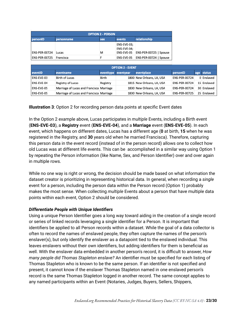| <b>OPTION 2 - PERSON</b> |            |     |                                          |                        |  |  |
|--------------------------|------------|-----|------------------------------------------|------------------------|--|--|
| personID                 | personname | sex | events                                   | relationship           |  |  |
| ENS-PER-00724            | Lucas      | M   | ENS-EVE-03;<br>ENS-EVE-04:<br>ENS-EVE-05 | ENS-PER-00725   Spouse |  |  |
| ENS-PER-00725            | Francisca  |     | ENS-EVE-05                               | ENS-PER-00724   Spouse |  |  |

| eventID           | eventname                                | eventtype eventyear | eventplace                | personID             | age status  |
|-------------------|------------------------------------------|---------------------|---------------------------|----------------------|-------------|
| <b>ENS-EVE-03</b> | <b>Birth of Lucas</b>                    | Birth               | 1800 New Orleans, LA, USA | <b>ENS-PER-00724</b> | 0 Enslaved  |
| <b>ENS-EVE-04</b> | Registry of Lucas                        | Registry            | 1815 New Orleans, LA, USA | <b>ENS-PER-00724</b> | 15 Enslaved |
| <b>ENS-EVE-05</b> | Marriage of Lucas and Francisca Marriage |                     | 1830 New Orleans, LA, USA | <b>ENS-PER-00724</b> | 30 Enslaved |
| <b>ENS-EVE-05</b> | Marriage of Lucas and Francisca Marriage |                     | 1830 New Orleans, LA, USA | <b>ENS-PER-00725</b> | 25 Enslaved |

#### **Illustration 3**: Option 2 for recording person data points at specific Event dates

In the Option 2 example above, Lucas participates in *multiple* Events, including a Birth event (**ENS-EVE-03**), a **Registry** event (**ENS-EVE-04**), and a **Marriage** event (**ENS-EVE-05**). In each event, which happens on different dates, Lucas has a different age (**0** at birth, **15** when he was registered in the Registry, and **30** years old when he married Francisca). Therefore, capturing this person data in the event record (instead of in the person record) allows one to collect how old Lucas was at different life events. This can be accomplished in a similar way using Option 1 by repeating the Person information (like Name, Sex, and Person Identifier) over and over again in multiple rows.

While no one way is right or wrong, the decision should be made based on what information the dataset creator is prioritizing in representing historical data. In general, when recording a *single* event for a person, including the person data within the Person record (Option 1) probably makes the most sense. When collecting *multiple* Events about a person that have multiple data points within each event, Option 2 should be considered.

#### <span id="page-22-0"></span>*Differentiate People with Unique Identifiers*

Using a unique Person Identifier goes a long way toward aiding in the creation of a single record or series of linked records leveraging a single identifier for a Person. It is important that identifiers be applied to all Person records within a dataset. While the goal of a data collector is often to record the names of enslaved people, they often capture the names of the person's enslaver(s), but only identify the enslaver as a datapoint tied to the enslaved individual. This leaves enslavers without their own identifiers, but adding identifiers for them is beneficial as well. With the enslaver data embedded in another person's record, it is difficult to answer, *How many people did Thomas Stapleton enslave?* An identifier must be specified for each listing of Thomas Stapleton who is known to be the same person. If an identifier is not specified and present, it cannot know if the enslaver Thomas Stapleton named in one enslaved person's record is the same Thomas Stapleton logged in another record. The same concept applies to any named participants within an Event (Notaries, Judges, Buyers, Sellers, Shippers,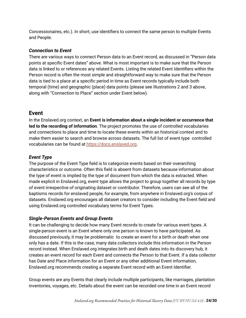Concessionaires, etc.). In short, use identifiers to connect the same person to multiple Events and People.

#### <span id="page-23-0"></span>*Connection to Event*

There are various ways to connect Person data to an Event record, as discussed in "Person data points at specific Event dates" above. What is most important is to make sure that the Person data is linked to or references any related Events. Listing the related Event Identifiers within the Person record is often the most simple and straightforward way to make sure that the Person data is tied to a place at a specific period in time as Event records typically include both temporal (time) and geographic (place) data points (please see Illustrations 2 and 3 above, along with "Connection to Place" section under Event below).

#### <span id="page-23-1"></span>**Event**

In the Enslaved.org context, an **Event is information about a single incident or occurrence that led to the recording of information**. The project promotes the use of controlled vocabularies and connections to place and time to locate these events within an historical context and to make them easier to search and browse across datasets. The full list of event type controlled vocabularies can be found at <https://docs.enslaved.org>.

#### <span id="page-23-2"></span>*Event Type*

The purpose of the Event Type field is to categorize events based on their overarching characteristics or outcome. Often this field is absent from datasets because information about the type of event is implied by the type of document from which the data is extracted. When made explicit in Enslaved.org, event type allows the project to group together all records by type of event irrespective of originating dataset or contributor. Therefore, users can see all of the baptisms records for enslaved people, for example, from anywhere in Enslaved.org's corpus of datasets. Enslaved.org encourages all dataset creators to consider including the Event field and using Enslaved.org controlled vocabulary terms for Event Types.

#### <span id="page-23-3"></span>*Single-Person Events and Group Events*

It can be challenging to decide how many Event records to create for various event types. A single-person event is an Event where only one person is known to have participated. As discussed previously, it may be problematic to create an event for a birth or death when one only has a date. If this is the case, many data collectors include this information in the Person record instead. When Enslaved.org integrates birth and death dates into its discovery hub, it creates an event record for each Event and connects the Person to that Event. If a data collector has Date and Place information for an Event or any other additional Event information, Enslaved.org recommends creating a separate Event record with an Event Identifier.

Group events are any Events that clearly include multiple participants, like marriages, plantation inventories, voyages, etc. Details about the event can be recorded one time in an Event record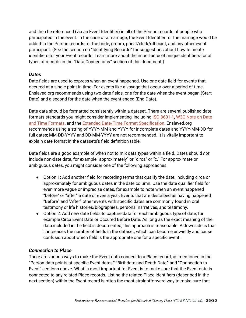and then be referenced (via an Event Identifier) in all of the Person records of people who participated in the event. In the case of a marriage, the Event Identifier for the marriage would be added to the Person records for the bride, groom, priest/clerk/officiant, and any other event participant. (See the section on "Identifying Records" for suggestions about how to create identifiers for your Event records. Learn more about the importance of unique identifiers for all types of records in the "Data Connections*"* section of this document.)

#### <span id="page-24-0"></span>*Dates*

Date fields are used to express when an event happened. Use one date field for events that occured at a single point in time. For events like a voyage that occur over a period of time, Enslaved.org recommends using two date fields, one for the date when the event began (Start Date) and a second for the date when the event ended (End Date).

Date data should be formatted consistently within a dataset. There are several published date formats standards you might consider implementing, including **ISO 8601-1**, W3C [Note](https://www.w3.org/TR/NOTE-datetime) on Date and Time [Formats](https://www.w3.org/TR/NOTE-datetime), and the Extended Date/Time Format [Specification](http://www.loc.gov/standards/datetime/). Enslaved.org recommends using a string of YYYY-MM and YYYY for incomplete dates and YYYY-MM-DD for full dates; MM-DD-YYYY and DD-MM-YYYY are not recommended. It is vitally important to explain date format in the datasets's field definition table.

Date fields are a good example of when not to mix data types within a field. Dates should *not* include non-date data, for example "approximately" or "circa" or "c." For approximate or ambiguous dates, you might consider one of the following approaches.

- Option 1: Add another field for recording terms that qualify the date, including circa or approximately for ambiguous dates in the date column. Use the date qualifier field for even more vague or imprecise dates, for example to note when an event happened "before" or "after" a date or even a year. Events that are described as having happened "Before" and "After" other events with specific dates are commonly found in oral testimony or life histories/biographies, personal narratives, and testimony.
- Option 2: Add new date fields to capture data for each ambiguous type of date, for example Circa Event Date or Occured Before Date. As long as the exact meaning of the data included in the field is documented, this approach is reasonable. A downside is that it increases the number of fields in the dataset, which can become unwieldy and cause confusion about which field is the appropriate one for a specific event.

#### <span id="page-24-1"></span>*Connection to Place*

There are various ways to make the Event data connect to a Place record, as mentioned in the "Person data points at specific Event dates," "Birthdate and Death Date," and "Connection to Event" sections above. What is most important for Event is to make sure that the Event data is connected to any related Place records. Listing the related Place Identifiers (described in the next section) within the Event record is often the most straightforward way to make sure that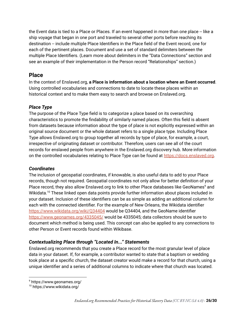the Event data is tied to a Place or Places. If an event happened in more than one place -- like a ship voyage that began in one port and traveled to several other ports before reaching its destination -- include multiple Place Identifiers in the Place field of the Event record, one for each of the pertinent places. Document and use a set of standard delimiters between the multiple Place Identifiers. (Learn more about delimiters in the "Data Connections" section and see an example of their implementation in the Person record "Relationships" section.)

#### <span id="page-25-0"></span>**Place**

In the context of Enslaved.org, **a Place is information about a location where an Event occurred**. Using controlled vocabularies and connections to date to locate these places within an historical context and to make them easy to search and browse on Enslaved.org.

#### <span id="page-25-1"></span>*Place Type*

The purpose of the Place Type field is to categorize a place based on its overarching characteristics to promote the findability of similarly named places. Often this field is absent from datasets because information about the type of place is not explicitly expressed within an original source document or the whole dataset refers to a single place type. Including Place Type allows Enslaved.org to group together all records by type of place, for example, a court, irrespective of originating dataset or contributor. Therefore, users can see all of the court records for enslaved people from anywhere in the Enslaved.org discovery hub. More information on the controlled vocabularies relating to Place Type can be found at [https://docs.enslaved.org.](https://docs.enslaved.org)

#### <span id="page-25-2"></span>*Coordinates*

The inclusion of geospatial coordinates, if knowable, is also useful data to add to your Place records, though not required. Geospatial coordinates not only allow for better definition of your Place record, they also allow Enslaved.org to link to other Place databases like GeoNames<sup>9</sup> and Wikidata. $^{10}$  These linked open data points provide further information about places included in your dataset. Inclusion of these identifiers can be as simple as adding an additional column for each with the connected identifier. For the example of New Orleans, the Wikidata identifier <https://www.wikidata.org/wiki/Q34404> would be Q34404, and the GeoName identifier <https://www.geonames.org/4335045/> would be 4335045; data collectors should be sure to document which method is being used. This concept can also be applied to any connections to other Person or Event records found within Wikibase.

#### <span id="page-25-3"></span>*Contextualizing Place through "Located In..." Statements*

Enslaved.org recommends that you create a Place record for the most granular level of place data in your dataset. If, for example, a contributor wanted to state that a baptism or wedding took place at a specific church, the dataset creator would make a record for that church, using a unique identifier and a series of additional columns to indicate where that church was located.

<sup>9</sup> https://www.geonames.org/

<sup>10</sup> https://www.wikidata.org/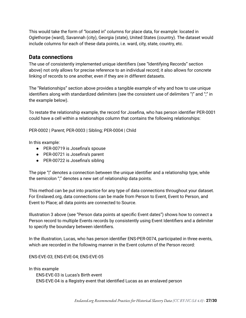This would take the form of "located in" columns for place data, for example: located in Oglethorpe (ward), Savannah (city), Georgia (state), United States (country). The dataset would include columns for each of these data points, i.e. ward, city, state, country, etc.

#### <span id="page-26-0"></span>**Data connections**

The use of consistently implemented unique identifiers (see "Identifying Records" section above) not only allows for precise reference to an individual record; it also allows for concrete linking of records to one another, even if they are in different datasets.

The "Relationships" section above provides a tangible example of why and how to use unique identifiers along with standardized delimiters (see the consistent use of delimiters "|" and ";" in the example below).

To restate the relationship example, the record for Josefina, who has person identifier PER-0001 could have a cell within a relationships column that contains the following relationships:

PER-0002 | Parent; PER-0003 | Sibling; PER-0004 | Child

In this example:

- PER-00719 is Josefina's spouse
- PER-00721 is Josefina's parent
- PER-00722 is Josefina's sibling

The pipe "|" denotes a connection between the unique identifier and a relationship type, while the semicolon ";" denotes a new set of relationship data points.

This method can be put into practice for any type of data connections throughout your dataset. For Enslaved.org, data connections can be made from Person to Event, Event to Person, and Event to Place; all data points are connected to Source.

Illustration 3 above (see "Person data points at specific Event dates") shows how to connect a Person record to multiple Events records by consistently using Event Identifiers and a delimiter to specify the boundary between identifiers.

In the illustration, Lucas, who has person identifier ENS-PER-0074, participated in three events, which are recorded in the following manner in the Event column of the Person record:

ENS-EVE-03; ENS-EVE-04; ENS-EVE-05

In this example ENS-EVE-03 is Lucas's Birth event ENS-EVE-04 is a Registry event that identified Lucas as an enslaved person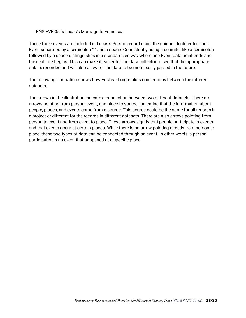#### ENS-EVE-05 is Lucas's Marriage to Francisca

These three events are included in Lucas's Person record using the unique identifier for each Event separated by a semicolon ";" and a space. Consistently using a delimiter like a semicolon followed by a space distinguishes in a standardized way where one Event data point ends and the next one begins. This can make it easier for the data collector to see that the appropriate data is recorded and will also allow for the data to be more easily parsed in the future.

The following illustration shows how Enslaved.org makes connections between the different datasets.

The arrows in the illustration indicate a connection between two different datasets. There are arrows pointing from person, event, and place to source, indicating that the information about people, places, and events come from a source. This source could be the same for all records in a project or different for the records in different datasets. There are also arrows pointing from person to event and from event to place. These arrows signify that people participate in events and that events occur at certain places. While there is no arrow pointing directly from person to place, these two types of data can be connected through an event. In other words, a person participated in an event that happened at a specific place.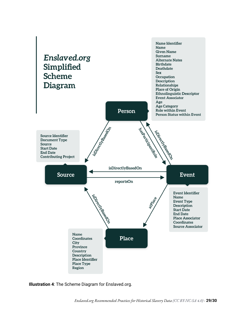

**Illustration 4**: The Scheme Diagram for Enslaved.org.